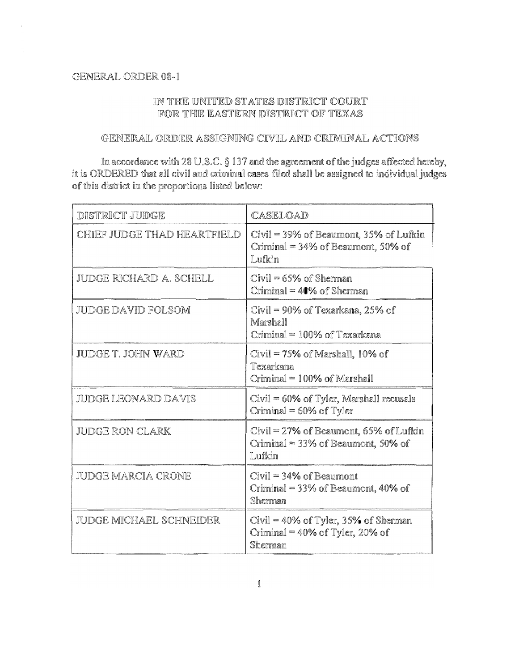## GENERAL ORDER 08-1

## IN THE UNITED STATES DISTRICT COURT FOR THE EASTERN DISTRICT OF TEXAS

## GENERAL ORDER ASSIGNING CIVIL AND CRIMINAL ACTIONS

In accordance with 28 U.S.C. § 137 and the agreement of the judges affected hereby, it is ORDERED that all civil and criminal cases filed shall be assigned to individual judges of this district in the proportions listed below:

| <b>DISTRICT JUDGE</b>       | CASELOAD                                                                               |
|-----------------------------|----------------------------------------------------------------------------------------|
| CHIEF JUDGE THAD HEARTFIELD | Civil = 39% of Beaumont, 35% of Lufkin<br>Criminal = 34% of Beaumont, 50% of<br>Lufkin |
| JUDGE RICHARD A. SCHELL     | $Civil = 65%$ of Sherman<br>Criminal $=$ 40% of Sherman                                |
| JUDGE DAVID FOLSOM          | Civil = 90% of Texarkana, 25% of<br>Marshall<br>Criminal = 100% of Texarkana           |
| JUDGE T. JOHN WARD          | $Civil = 75%$ of Marshall, 10% of<br>Texarkana<br>Criminal = 100% of Marshall          |
| JUDGE LEONARD DAVIS         | $Civil = 60\%$ of Tyler, Marshall recusals<br>Criminal = 60% of Tyler                  |
| JUDGE RON CLARK             | Civil = 27% of Beaumont, 65% of Lufkin<br>Criminal = 33% of Beaumont, 50% of<br>Lufkin |
| JUDGE MARCIA CRONE          | $Civil = 34%$ of Beaumont<br>Criminal = $33\%$ of Beaumont, 40% of<br>Sherman          |
| JUDGE MICHAEL SCHNEIDER     | $Civil = 40\%$ of Tyler, 35% of Sherman<br>Criminal = 40% of Tyler, 20% of<br>Sherman  |